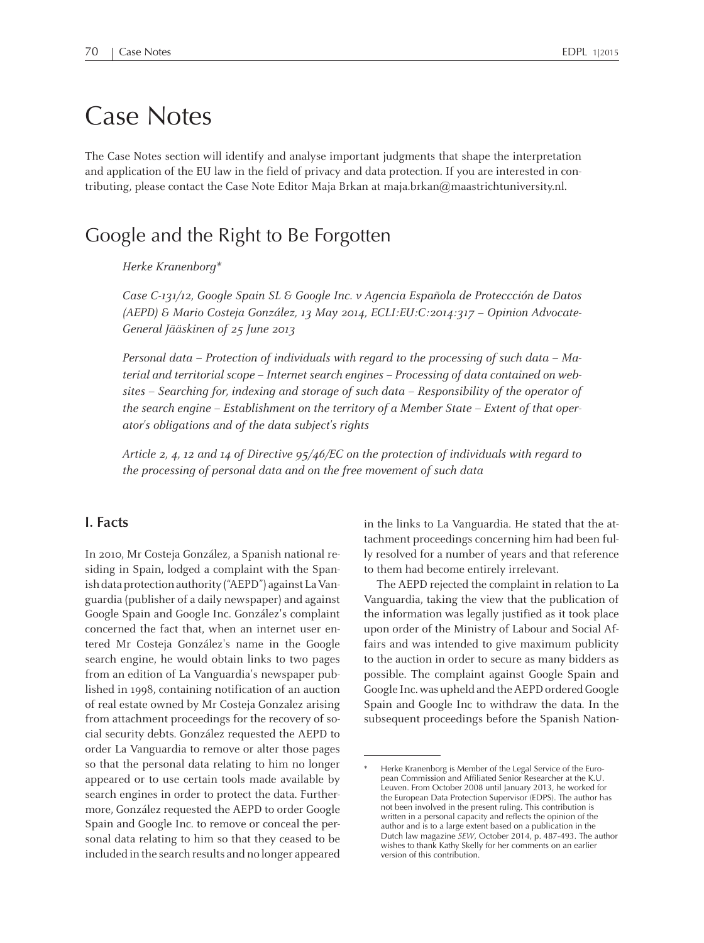# Case Notes

The Case Notes section will identify and analyse important judgments that shape the interpretation and application of the EU law in the field of privacy and data protection. If you are interested in contributing, please contact the Case Note Editor Maja Brkan at maja.brkan@maastrichtuniversity.nl.

## Google and the Right to Be Forgotten

#### Herke Kranenborg\*

Case C-131/12, Google Spain SL & Google Inc. <sup>v</sup> Agencia Española de Proteccción de Datos (AEPD) & Mario Costeja González, 13 May 2014, ECLI:EU:C:2014:317 – Opinion Advocate-General Jääskinen of 25 June 2013

Personal data – Protection of individuals with regard to the processing of such data – Material and territorial scope – Internet search engines – Processing of data contained on websites – Searching for, indexing and storage of such data – Responsibility of the operator of the search engine – Establishment on the territory of <sup>a</sup> Member State – Extent of that operator's obligations and of the data subject's rights

Article 2, 4, 12 and 14 of Directive  $95/46$ /EC on the protection of individuals with regard to the processing of personal data and on the free movement of such data

## **I. Facts**

In 2010, Mr Costeja González, <sup>a</sup> Spanish national residing in Spain, lodged <sup>a</sup> complaint with the Spanish data protection authority ("AEPD") against La Vanguardia (publisher of <sup>a</sup> daily newspaper) and against Google Spain and Google Inc. González's complaint concerned the fact that, when an internet user entered Mr Costeja González's name in the Google search engine, he would obtain links to two pages from an edition of La Vanguardia's newspaper published in 1998, containing notification of an auction of real estate owned by Mr Costeja Gonzalez arising from attachment proceedings for the recovery of social security debts. González requested the AEPD to order La Vanguardia to remove or alter those pages so that the personal data relating to him no longer appeared or to use certain tools made available by search engines in order to protect the data. Furthermore, González requested the AEPD to order Google Spain and Google Inc. to remove or conceal the personal data relating to him so that they ceased to be included in the search results and no longer appeared in the links to La Vanguardia. He stated that the attachment proceedings concerning him had been fully resolved for <sup>a</sup> number of years and that reference to them had become entirely irrelevant.

The AEPD rejected the complaint in relation to La Vanguardia, taking the view that the publication of the information was legally justified as it took place upon order of the Ministry of Labour and Social Affairs and was intended to give maximum publicity to the auction in order to secure as many bidders as possible. The complaint against Google Spain and Google Inc. was upheld and the AEPD ordered Google Spain and Google Inc to withdraw the data. In the subsequent proceedings before the Spanish Nation-

<sup>\*</sup> Herke Kranenborg is Member of the Legal Service of the European Commission and Affiliated Senior Researcher at the K.U. Leuven. From October <sup>2008</sup> until January 2013, he worked for the European Data Protection Supervisor (EDPS). The author has not been involved in the presen<sup>t</sup> ruling. This contribution is written in <sup>a</sup> personal capacity and reflects the opinion of the author and is to <sup>a</sup> large extent based on <sup>a</sup> publication in the Dutch law magazine *SEW*, October 2014, p. 487-493. The author wishes to thank Kathy Skelly for her comments on an earlier version of this contribution.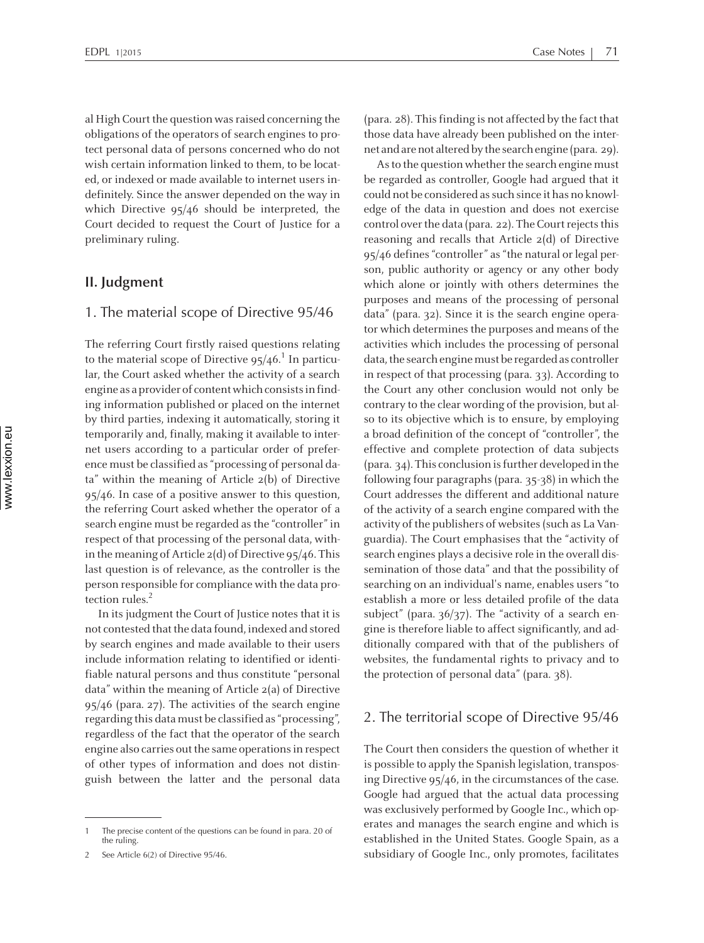al High Court the question was raised concerning the obligations of the operators of search engines to protect personal data of persons concerned who do not wish certain information linked to them, to be located, or indexed or made available to internet users indefinitely. Since the answer depended on the way in which Directive 95/46 should be interpreted, the Court decided to reques<sup>t</sup> the Court of Justice for <sup>a</sup> preliminary ruling.

## **II. Judgment**

#### 1. The material scope of Directive 95/46

The referring Court firstly raised questions relating to the material scope of Directive 95/46.<sup>1</sup> In particular, the Court asked whether the activity of <sup>a</sup> search engine as a provider of content which consists in finding information published or placed on the internet by third parties, indexing it automatically, storing it temporarily and, finally, making it available to internet users according to <sup>a</sup> particular order of preference must be classified as "processing of personal data" within the meaning of Article 2(b) of Directive 95/46. In case of <sup>a</sup> positive answer to this question, the referring Court asked whether the operator of <sup>a</sup> search engine must be regarded as the "controller" in respec<sup>t</sup> of that processing of the personal data, within the meaning of Article  $2(d)$  of Directive 95/46. This last question is of relevance, as the controller is the person responsible for compliance with the data protection rules. 2

In its judgment the Court of Justice notes that it is not contested that the data found, indexed and stored by search engines and made available to their users include information relating to identified or identifiable natural persons and thus constitute "personal data" within the meaning of Article 2(a) of Directive 95/46 (para. 27). The activities of the search engine regarding this datamust be classified as"processing", regardless of the fact that the operator of the search engine also carries out the same operations in respect of other types of information and does not distinguish between the latter and the personal data

(para.  $28$ ). This finding is not affected by the fact that those data have already been published on the internet andarenot alteredby the searchengine (para. 29).

As to the question whether the search engine must be regarded as controller, Google had argued that it could not be considered as such since it has no knowledge of the data in question and does not exercise control over the data (para. 22). The Court rejects this reasoning and recalls that Article 2(d) of Directive 95/46 defines "controller" as "the natural or legal person, public authority or agency or any other body which alone or jointly with others determines the purposes and means of the processing of personal data" (para. 32). Since it is the search engine operator which determines the purposes and means of the activities which includes the processing of personal data, the search engine must be regarded as controller in respec<sup>t</sup> of that processing (para. 33). According to the Court any other conclusion would not only be contrary to the clear wording of the provision, but also to its objective which is to ensure, by employing <sup>a</sup> broad definition of the concep<sup>t</sup> of "controller", the effective and complete protection of data subjects (para. 34).This conclusion isfurther developed in the following four paragraphs (para. 35-38) in which the Court addresses the different and additional nature of the activity of <sup>a</sup> search engine compared with the activity of the publishers of websites(such as LaVanguardia). The Court emphasises that the "activity of search engines plays <sup>a</sup> decisive role in the overall dissemination of those data" and that the possibility of searching on an individual's name, enables users "to establish <sup>a</sup> more or less detailed profile of the data subject" (para.  $36/37$ ). The "activity of a search engine is therefore liable to affect significantly, and additionally compared with that of the publishers of websites, the fundamental rights to privacy and to the protection of personal data" (para. 38). .<br>L

#### 2. The territorial scope of Directive 95/46

The Court then considers the question of whether it is possible to apply the Spanish legislation, transposing Directive 95/46, in the circumstances of the case. Google had argued that the actual data processing was exclusively performed by Google Inc., which operates and manages the search engine and which is established in the United States. Google Spain, as <sup>a</sup> subsidiary of Google Inc., only promotes, facilitates

<sup>1</sup> The precise content of the questions can be found in para. <sup>20</sup> of the ruling.

See Article 6(2) of Directive 95/46.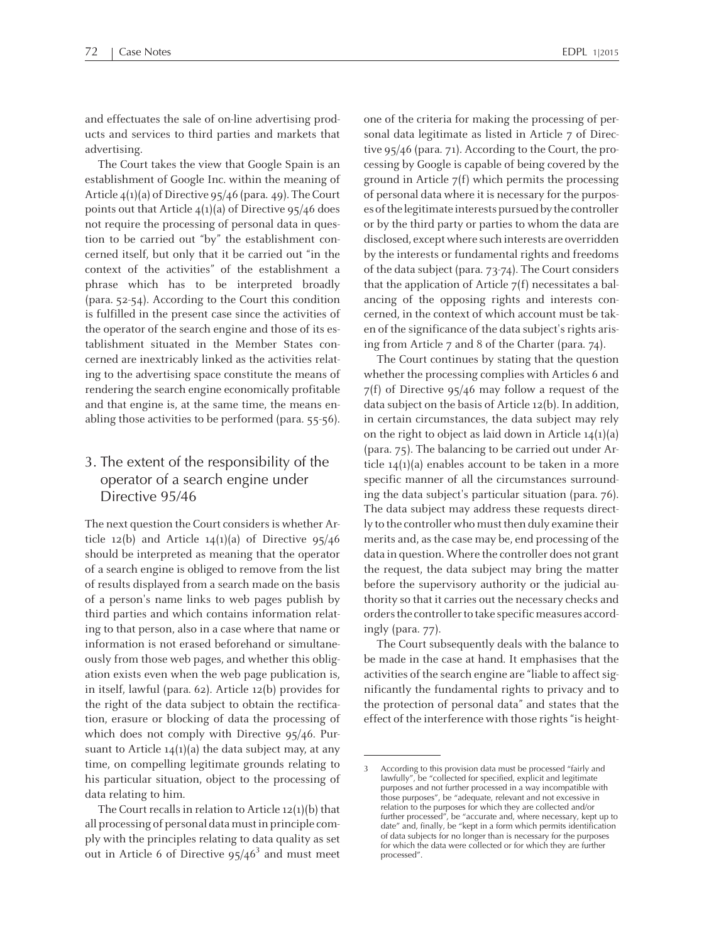and effectuates the sale of on-line advertising products and services to third parties and markets that advertising.

The Court takes the view that Google Spain is an establishment of Google Inc. within the meaning of Article  $4(1)(a)$  of Directive 95/46 (para. 49). The Court points out that Article  $4(1)(a)$  of Directive 95/46 does not require the processing of personal data in question to be carried out "by" the establishment concerned itself, but only that it be carried out "in the context of the activities" of the establishment <sup>a</sup> phrase which has to be interpreted broadly (para. 52-54). According to the Court this condition is fulfilled in the presen<sup>t</sup> case since the activities of the operator of the search engine and those of its establishment situated in the Member States concerned are inextricably linked as the activities relating to the advertising space constitute the means of rendering the search engine economically profitable and that engine is, at the same time, the means enabling those activities to be performed (para. 55-56).

## 3. The extent of the responsibility of the operator of <sup>a</sup> search engine under Directive 95/46

The next question the Court considers is whether Article 12(b) and Article 14(1)(a) of Directive  $95/46$ should be interpreted as meaning that the operator of <sup>a</sup> search engine is obliged to remove from the list of results displayed from <sup>a</sup> search made on the basis of <sup>a</sup> person's name links to web pages publish by third parties and which contains information relating to that person, also in <sup>a</sup> case where that name or information is not erased beforehand or simultaneously from those web pages, and whether this obligation exists even when the web page publication is, in itself, lawful (para. 62). Article 12(b) provides for the right of the data subject to obtain the rectification, erasure or blocking of data the processing of which does not comply with Directive 95/46. Pursuant to Article  $14(1)(a)$  the data subject may, at any time, on compelling legitimate grounds relating to his particular situation, object to the processing of data relating to him.

The Court recalls in relation to Article  $12(1)(b)$  that all processing of personal datamustin principle comply with the principles relating to data quality as set out in Article 6 of Directive 95/4 $6^3$  and must meet

one of the criteria for making the processing of personal data legitimate as listed in Article <sup>7</sup> of Directive 95/46 (para. 71). According to the Court, the processing by Google is capable of being covered by the ground in Article 7(f) which permits the processing of personal data where it is necessary for the purposes of the legitimate interests pursued by the controller or by the third party or parties to whom the data are disclosed, excep<sup>t</sup> where such interests are overridden by the interests or fundamental rights and freedoms of the data subject (para. 73-74). The Court considers that the application of Article  $7(f)$  necessitates a balancing of the opposing rights and interests concerned, in the context of which account must be taken of the significance of the data subject's rights arising from Article <sup>7</sup> and <sup>8</sup> of the Charter (para. 74).

The Court continues by stating that the question whether the processing complies with Articles <sup>6</sup> and  $7(f)$  of Directive 95/46 may follow a request of the data subject on the basis of Article 12(b). In addition, in certain circumstances, the data subject may rely on the right to object as laid down in Article  $14(1)(a)$ (para. 75). The balancing to be carried out under Article  $14(1)(a)$  enables account to be taken in a more specific manner of all the circumstances surrounding the data subject's particular situation (para. <sup>7</sup>6). The data subject may address these requests directly to the controller who must then duly examine their merits and, asthe casemay be, end processing of the data in question. Where the controller does not gran<sup>t</sup> the request, the data subject may bring the matter before the supervisory authority or the judicial authority so that it carries out the necessary checks and orders the controller to take specific measures accordingly (para. 77).

The Court subsequently deals with the balance to be made in the case at hand. It emphasises that the activities of the search engine are "liable to affect significantly the fundamental rights to privacy and to the protection of personal data" and states that the effect of the interference with those rights "is height-

<sup>3</sup> According to this provision data must be processed "fairly and lawfully", be "collected for specified, explicit and legitimate purposes and not further processed in <sup>a</sup> way incompatible with those purposes", be "adequate, relevant and not excessive in relation to the purposes for which they are collected and/or further processed", be "accurate and, where necessary, kept up to date" and, finally, be "kept in <sup>a</sup> form which permits identification of data subjects for no longer than is necessary for the purposes for which the data were collected or for which they are further processed".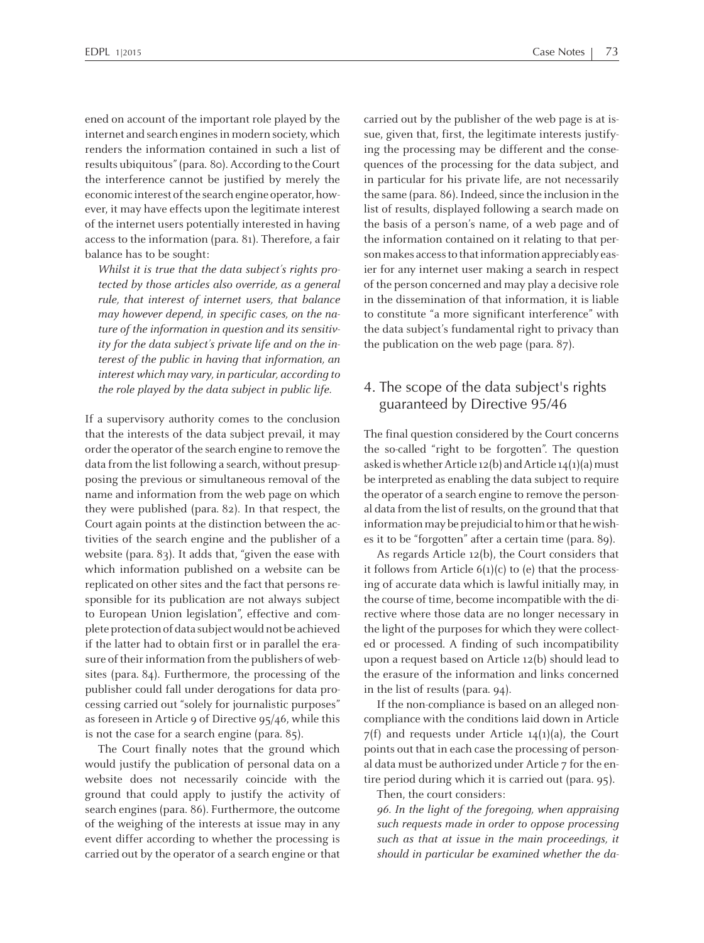ened on account of the important role played by the internet and search engines in modern society, which renders the information contained in such <sup>a</sup> list of results ubiquitous"(para. 80).According to the Court the interference cannot be justified by merely the economic interest of the search engine operator, however, it may have effects upon the legitimate interest of the internet users potentially interested in having access to the information (para. 81). Therefore, <sup>a</sup> fair balance has to be sought:

Whilst it is true that the data subject's rights protected by those articles also override, as <sup>a</sup> general rule, that interest of internet users, that balance may however depend, in specific cases, on the nature of the information in question and its sensitivity for the data subject's private life and on the interest of the public in having that information, an interest which may vary, in particular, according to the role played by the data subject in public life.

If <sup>a</sup> supervisory authority comes to the conclusion that the interests of the data subject prevail, it may order the operator of the search engine to remove the data from the list following a search, without presupposing the previous or simultaneous removal of the name and information from the web page on which they were published (para. 82). In that respect, the Court again points at the distinction between the activities of the search engine and the publisher of <sup>a</sup> website (para. 83). It adds that, "given the ease with which information published on <sup>a</sup> website can be replicated on other sites and the fact that persons responsible for its publication are not always subject to European Union legislation", effective and complete protection of data subject would not be achieved if the latter had to obtain first or in parallel the erasure of their information from the publishers of websites (para. 84). Furthermore, the processing of the publisher could fall under derogations for data processing carried out "solely for journalistic purposes" as foreseen in Article 9 of Directive 95/46, while this is not the case for <sup>a</sup> search engine (para. 85).

The Court finally notes that the ground which would justify the publication of personal data on <sup>a</sup> website does not necessarily coincide with the ground that could apply to justify the activity of search engines (para. 86). Furthermore, the outcome of the weighing of the interests at issue may in any event differ according to whether the processing is carried out by the operator of <sup>a</sup> search engine or that carried out by the publisher of the web page is at issue, given that, first, the legitimate interests justifying the processing may be different and the consequences of the processing for the data subject, and in particular for his private life, are not necessarily the same (para. 86). Indeed, since the inclusion in the list of results, displayed following <sup>a</sup> search made on the basis of <sup>a</sup> person's name, of <sup>a</sup> web page and of the information contained on it relating to that person makes access to that information appreciably easier for any internet user making <sup>a</sup> search in respec<sup>t</sup> of the person concerned andmay play <sup>a</sup> decisive role in the dissemination of that information, it is liable to constitute "a more significant interference" with the data subject's fundamental right to privacy than the publication on the web page (para. 87).

## 4. The scope of the data subject's rights guaranteed by Directive 95/46

The final question considered by the Court concerns the so-called "right to be forgotten". The question asked is whether Article 12(b) and Article 14(1)(a) must be interpreted as enabling the data subject to require the operator of <sup>a</sup> search engine to remove the personal data from the list of results, on the ground that that information may be prejudicial to him or that he wishes it to be "forgotten" after <sup>a</sup> certain time (para. 89).

As regards Article 12(b), the Court considers that it follows from Article  $6(1)(c)$  to (e) that the processing of accurate data which is lawful initially may, in the course of time, become incompatible with the directive where those data are no longer necessary in the light of the purposes for which they were collected or processed. <sup>A</sup> finding of such incompatibility upon <sup>a</sup> reques<sup>t</sup> based on Article 12(b) should lead to the erasure of the information and links concerned in the list of results (para. 94).

If the non-compliance is based on an alleged noncompliance with the conditions laid down in Article  $7(f)$  and requests under Article 14(1)(a), the Court points out that in each case the processing of personal datamust be authorized under Article 7 for the entire period during which it is carried out (para. 95).

Then, the court considers:

96. In the light of the foregoing, when appraising such requests made in order to oppose processing such as that at issue in the main proceedings, it should in particular be examined whether the da-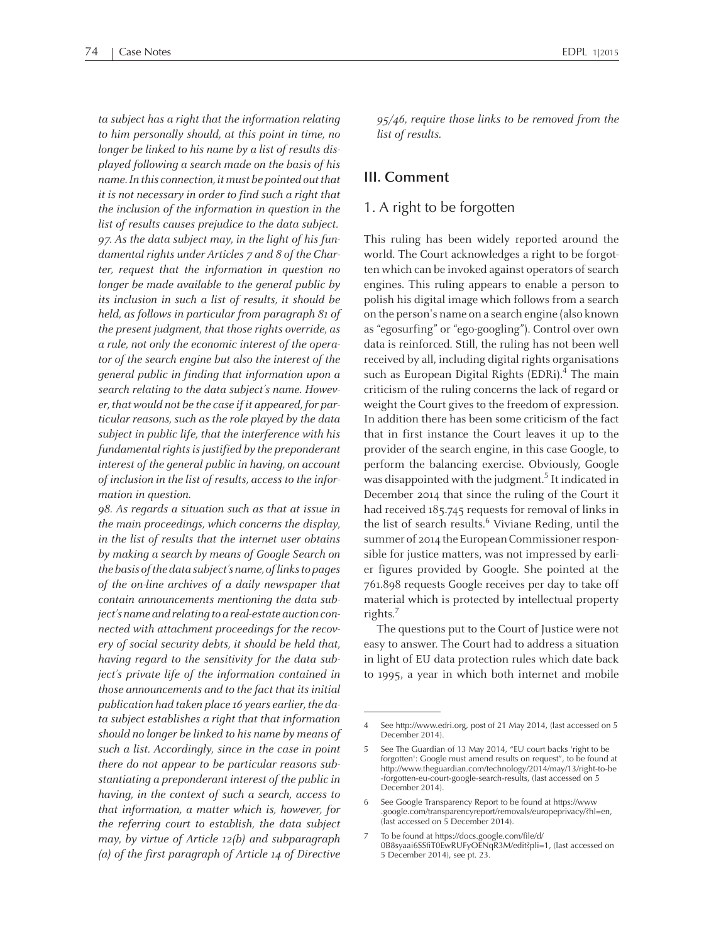ta subject has <sup>a</sup> right that the information relating to him personally should, at this point in time, no longer be linked to his name by <sup>a</sup> list of results displayed following <sup>a</sup> search made on the basis of his name. In this connection, it must be pointed out that it is not necessary in order to find such <sup>a</sup> right that the inclusion of the information in question in the list of results causes prejudice to the data subject. 97. As the data subject may, in the light of his fundamental rights under Articles <sup>7</sup> and 8 of the Charter, reques<sup>t</sup> that the information in question no longer be made available to the general public by its inclusion in such <sup>a</sup> list of results, it should be held, as follows in particular from paragraph 81 of the presen<sup>t</sup> judgment, that those rights override, as <sup>a</sup> rule, not only the economic interest of the operator of the search engine but also the interest of the general public in finding that information upon <sup>a</sup> search relating to the data subject's name. However, that would not be the case if it appeared, for particular reasons, such as the role played by the data subject in public life, that the interference with his fundamental rights is justified by the preponderant interest of the general public in having, on account of inclusion in the list of results, access to the information in question.

98. As regards <sup>a</sup> situation such as that at issue in the main proceedings, which concerns the display, in the list of results that the internet user obtains by making <sup>a</sup> search by means of Google Search on the basis of the data subject's name, of links to pages of the on-line archives of <sup>a</sup> daily newspaper that contain announcements mentioning the data subject's name and relating to <sup>a</sup> real-estate auction connected with attachment proceedings for the recovery of social security debts, it should be held that, having regard to the sensitivity for the data subject's private life of the information contained in those announcements and to the fact that its initial publication had taken place <sup>16</sup> years earlier, the data subject establishes <sup>a</sup> right that that information should no longer be linked to his name by means of such <sup>a</sup> list. Accordingly, since in the case in point there do not appear to be particular reasons substantiating <sup>a</sup> preponderant interest of the public in having, in the context of such <sup>a</sup> search, access to that information, <sup>a</sup> matter which is, however, for the referring court to establish, the data subject may, by virtue of Article 12(b) and subparagraph (a) of the first paragraph of Article 14 of Directive

95/46, require those links to be removed from the list of results.

#### **III. Comment**

#### 1. <sup>A</sup> right to be forgotten

This ruling has been widely reported around the world. The Court acknowledges <sup>a</sup> right to be forgotten which can be invoked against operators of search engines. This ruling appears to enable <sup>a</sup> person to polish his digital image which follows from <sup>a</sup> search on the person's name on <sup>a</sup> search engine (also known as "egosurfing" or "ego-googling"). Control over own data is reinforced. Still, the ruling has not been well received by all, including digital rights organisations such as European Digital Rights (EDRi). 4 The main criticism of the ruling concerns the lack of regard or weight the Court gives to the freedom of expression. In addition there has been some criticism of the fact that in first instance the Court leaves it up to the provider of the search engine, in this case Google, to perform the balancing exercise. Obviously, Google was disappointed with the judgment. 5 It indicated in December 2014 that since the ruling of the Court it had received 185.745 requests for removal of links in the list of search results. 6 Viviane Reding, until the summer of 2014 the European Commissioner responsible for justice matters, was not impressed by earlier figures provided by Google. She pointed at the <sup>7</sup>61.898 requests Google receives per day to take off material which is protected by intellectual property rights. 7

The questions pu<sup>t</sup> to the Court of Justice were not easy to answer. The Court had to address <sup>a</sup> situation in light of EU data protection rules which date back to 1995, <sup>a</sup> year in which both internet and mobile

<sup>4</sup> See http://www.edri.org, pos<sup>t</sup> of <sup>21</sup> May 2014, (last accessed on <sup>5</sup> December 2014).

<sup>5</sup> See The Guardian of <sup>13</sup> May 2014, "EU court backs 'right to be forgotten': Google must amend results on request", to be found at http://www.theguardian.com/technology/2014/may/13/right-to-be -forgotten-eu-court-google-search-results, (last accessed on <sup>5</sup> December 2014).

<sup>6</sup> See Google Transparency Report to be found at https://www .google.com/transparencyreport/removals/europeprivacy/?hl=en, (last accessed on 5 December 2014).

<sup>7</sup> To be found at https://docs.google.com/file/d/ 0B8syaai6SSfiT0EwRUFyOENqR3M/edit?pli=1, (last accessed on <sup>5</sup> December 2014), see pt. 23.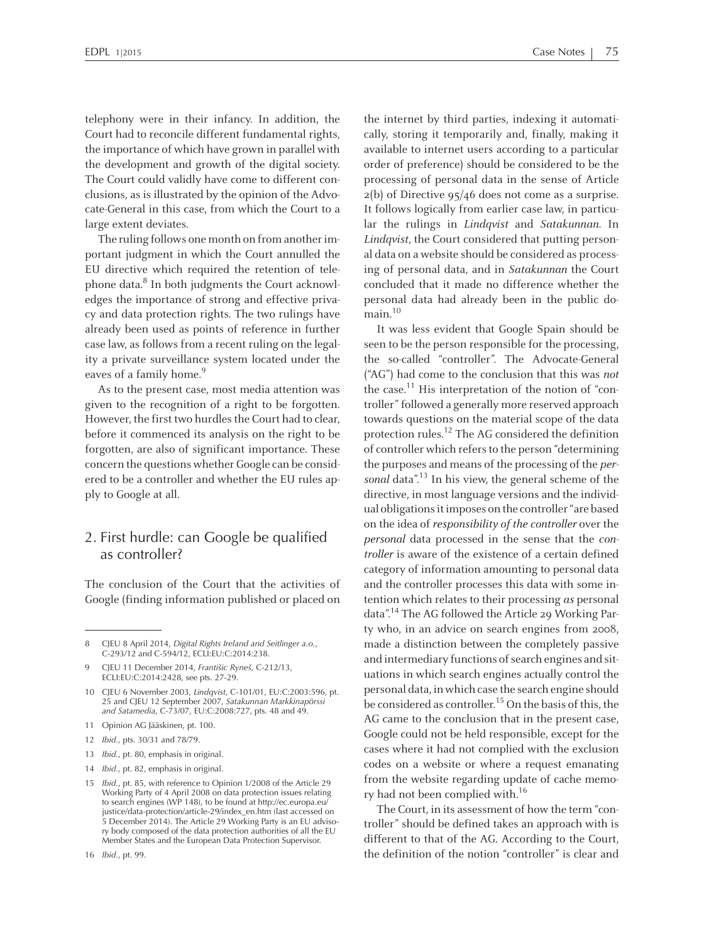telephony were in their infancy. In addition, the Court had to reconcile different fundamental rights, the importance of which have grown in parallel with the development and growth of the digital society. The Court could validly have come to different conclusions, as is illustrated by the opinion of the Advocate-General in this case, from which the Court to <sup>a</sup> large extent deviates.

The ruling follows one month on from another important judgment in which the Court annulled the EU directive which required the retention of telephone data.<sup>8</sup> In both judgments the Court acknowledges the importance of strong and effective privacy and data protection rights. The two rulings have already been used as points of reference in further case law, as follows froma recent ruling on the legality <sup>a</sup> private surveillance system located under the eaves of <sup>a</sup> family home. 9

As to the presen<sup>t</sup> case, most media attention was given to the recognition of <sup>a</sup> right to be forgotten. However, the first two hurdles the Court had to clear, before it commenced its analysis on the right to be forgotten, are also of significant importance. These concern the questions whether Google can be considered to be <sup>a</sup> controller and whether the EU rules apply to Google at all.

## 2. First hurdle: can Google be qualified as controller?

The conclusion of the Court that the activities of Google (finding information published or placed on

- <sup>13</sup> *Ibid.*, pt. 80, emphasis in original.
- <sup>14</sup> *Ibid.*, pt. 82, emphasis in original.

the internet by third parties, indexing it automatically, storing it temporarily and, finally, making it available to internet users according to <sup>a</sup> particular order of preference) should be considered to be the processing of personal data in the sense of Article  $2(b)$  of Directive 95/46 does not come as a surprise. It follows logically from earlier case law, in particular the rulings in Lindqvist and Satakunnan. In Lindqvist, the Court considered that putting personal data on <sup>a</sup> website should be considered as processing of personal data, and in Satakunnan the Court concluded that it made no difference whether the personal data had already been in the public domain. 10

It was less evident that Google Spain should be seen to be the person responsible for the processing, the so-called "controller". The Advocate-General ("AG") had come to the conclusion that this was not the case.<sup>11</sup> His interpretation of the notion of "controller" followed <sup>a</sup> generallymore reserved approach towards questions on the material scope of the data protection rules. 12 The AG considered the definition of controller which refersto the person "determining the purposes and means of the processing of the *per*sonal data".<sup>13</sup> In his view, the general scheme of the directive, in most language versions and the individual obligations it imposes on the controller "are based on the idea of responsibility of the controller over the personal data processed in the sense that the controller is aware of the existence of <sup>a</sup> certain defined category of information amounting to personal data and the controller processes this data with some intention which relates to their processing as personal data". 14 The AG followed the Article 29 Working Party who, in an advice on search engines from 2008, made <sup>a</sup> distinction between the completely passive and intermediary functions of search engines and situations in which search engines actually control the personal data, in which case the search engine should be considered as controller. 15 On the basis of this, the AG came to the conclusion that in the presen<sup>t</sup> case, Google could not be held responsible, excep<sup>t</sup> for the cases where it had not complied with the exclusion codes on <sup>a</sup> website or where <sup>a</sup> reques<sup>t</sup> emanating from the website regarding update of cache memory had not been complied with. 16

The Court, in its assessment of how the term "controller" should be defined takes an approach with is different to that of the AG. According to the Court, the definition of the notion "controller" is clear and

<sup>8</sup> CJEU <sup>8</sup> April 2014, *Digital Rights Ireland and Seitlinger a.o.*, C-293/12 and C-594/12, ECLI:EU:C:2014:238.

<sup>9</sup> CJEU <sup>11</sup> December 2014, *Františic Ryneš*, C-212/13, ECLI:EU:C:2014:2428, see pts. 27-29.

<sup>10</sup> CJEU <sup>6</sup> November 2003, *Lindqvist*, C-101/01, EU:C:2003:596, pt. <sup>25</sup> and CJEU <sup>12</sup> September 2007, *Satakunnan Markkinapörssi and Satamedia*, C-73/07, EU:C:2008:727, pts. <sup>48</sup> and 49.

<sup>11</sup> Opinion AG Jääskinen, pt. 100.

<sup>12</sup> *Ibid.*, pts. 30/31 and 78/79.

<sup>15</sup> *Ibid.*, pt. 85, with reference to Opinion 1/2008 of the Article <sup>29</sup> Working Party of <sup>4</sup> April <sup>2008</sup> on data protection issues relating to search engines (WP 148), to be found at http://ec.europa.eu/ justice/data-protection/article-29/index\_en.htm (last accessed on <sup>5</sup> December 2014). The Article <sup>29</sup> Working Party is an EU advisory body composed of the data protection authorities of all the EU Member States and the European Data Protection Supervisor.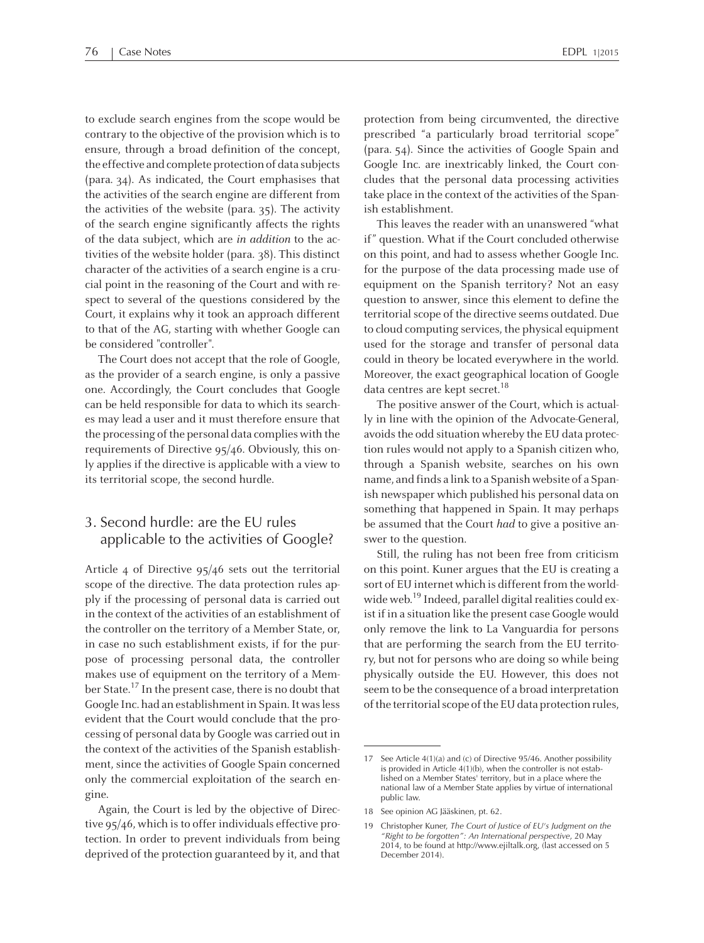to exclude search engines from the scope would be contrary to the objective of the provision which is to ensure, through <sup>a</sup> broad definition of the concept, the effective and complete protection of data subjects (para. 34). As indicated, the Court emphasises that the activities of the search engine are different from the activities of the website (para. 35). The activity of the search engine significantly affects the rights of the data subject, which are in addition to the activities of the website holder (para. 38). This distinct character of the activities of <sup>a</sup> search engine is <sup>a</sup> crucial point in the reasoning of the Court and with respec<sup>t</sup> to several of the questions considered by the Court, it explains why it took an approach different to that of the AG, starting with whether Google can be considered "controller".

The Court does not accep<sup>t</sup> that the role of Google, as the provider of <sup>a</sup> search engine, is only <sup>a</sup> passive one. Accordingly, the Court concludes that Google can be held responsible for data to which its searches may lead <sup>a</sup> user and it must therefore ensure that the processing of the personal data complies with the requirements of Directive 95/46. Obviously, this only applies if the directive is applicable with <sup>a</sup> view to its territorial scope, the second hurdle.

## 3. Second hurdle: are the EU rules applicable to the activities of Google?

Article 4 of Directive 95/46 sets out the territorial scope of the directive. The data protection rules apply if the processing of personal data is carried out in the context of the activities of an establishment of the controller on the territory of <sup>a</sup> Member State, or, in case no such establishment exists, if for the purpose of processing personal data, the controller makes use of equipment on the territory of <sup>a</sup> Member State.<sup>17</sup> In the present case, there is no doubt that Google Inc. had an establishment in Spain. It was less evident that the Court would conclude that the processing of personal data by Google was carried out in the context of the activities of the Spanish establishment, since the activities of Google Spain concerned only the commercial exploitation of the search engine.

Again, the Court is led by the objective of Directive 95/46, which is to offer individuals effective protection. In order to preven<sup>t</sup> individuals from being deprived of the protection guaranteed by it, and that protection from being circumvented, the directive prescribed "a particularly broad territorial scope" (para. 54). Since the activities of Google Spain and Google Inc. are inextricably linked, the Court concludes that the personal data processing activities take place in the context of the activities of the Spanish establishment.

This leaves the reader with an unanswered "what if" question. What if the Court concluded otherwise on this point, and had to assess whether Google Inc. for the purpose of the data processing made use of equipment on the Spanish territory? Not an easy question to answer, since this element to define the territorial scope of the directive seems outdated. Due to cloud computing services, the physical equipment used for the storage and transfer of personal data could in theory be located everywhere in the world. Moreover, the exact geographical location of Google data centres are kept secret.<sup>18</sup>

The positive answer of the Court, which is actually in line with the opinion of the Advocate-General, avoids the odd situation whereby the EU data protection rules would not apply to <sup>a</sup> Spanish citizen who, through <sup>a</sup> Spanish website, searches on his own name, and finds <sup>a</sup> link to <sup>a</sup> Spanish website of <sup>a</sup> Spanish newspaper which published his personal data on something that happened in Spain. It may perhaps be assumed that the Court had to give a positive answer to the question.

Still, the ruling has not been free from criticism on this point. Kuner argues that the EU is creating <sup>a</sup> sort of EU internet which is different from the worldwide web.<sup>19</sup> Indeed, parallel digital realities could exist if in <sup>a</sup> situation like the presen<sup>t</sup> case Google would only remove the link to La Vanguardia for persons that are performing the search from the EU territory, but not for persons who are doing so while being physically outside the EU. However, this does not seemto be the consequence of <sup>a</sup> broad interpretation of the territorial scope of the EU data protection rules,

<sup>17</sup> See Article 4(1)(a) and (c) of Directive 95/46. Another possibility is provided in Article 4(1)(b), when the controller is not established on <sup>a</sup> Member States' territory, but in <sup>a</sup> place where the national law of <sup>a</sup> Member State applies by virtue of international public law.

<sup>18</sup> See opinion AG Jääskinen, pt. 62.

<sup>19</sup> Christopher Kuner, *The Court of Justice of EU's Judgment on the "Right to be forgotten": An International perspective*, <sup>20</sup> May 2014, to be found at http://www.ejiltalk.org, (last accessed on <sup>5</sup> December 2014).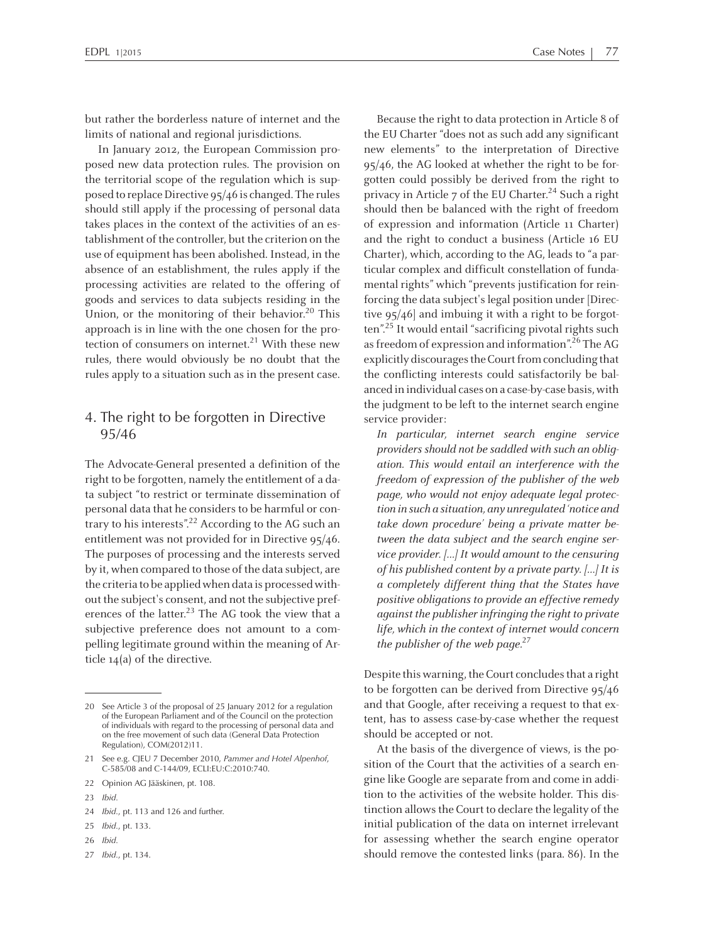but rather the borderless nature of internet and the limits of national and regional jurisdictions.

In January 2012, the European Commission proposed new data protection rules. The provision on the territorial scope of the regulation which is supposed to replace Directive  $95/46$  is changed. The rules should still apply if the processing of personal data takes places in the context of the activities of an establishment of the controller, but the criterion on the use of equipment has been abolished. Instead, in the absence of an establishment, the rules apply if the processing activities are related to the offering of goods and services to data subjects residing in the Union, or the monitoring of their behavior.<sup>20</sup> This approach is in line with the one chosen for the protection of consumers on internet. <sup>21</sup> With these new rules, there would obviously be no doubt that the rules apply to <sup>a</sup> situation such as in the presen<sup>t</sup> case.

## 4. The right to be forgotten in Directive 95/46

The Advocate-General presented <sup>a</sup> definition of the right to be forgotten, namely the entitlement of <sup>a</sup> data subject "to restrict or terminate dissemination of personal data that he considers to be harmful or contrary to his interests".<sup>22</sup> According to the AG such an entitlement was not provided for in Directive 95/46. The purposes of processing and the interests served by it, when compared to those of the data subject, are the criteria to be appliedwhen data is processedwithout the subject's consent, and not the subjective preferences of the latter.<sup>23</sup> The AG took the view that a subjective preference does not amount to <sup>a</sup> compelling legitimate ground within the meaning of Article 14(a) of the directive.

- <sup>25</sup> *Ibid.*, pt. 133.
- 26 *Ibid.*
- <sup>27</sup> *Ibid.*, pt. 134.

Because the right to data protection in Article <sup>8</sup> of the EU Charter "does not as such add any significant new elements" to the interpretation of Directive 95/46, the AG looked at whether the right to be forgotten could possibly be derived from the right to privacy in Article 7 of the EU Charter.<sup>24</sup> Such a right should then be balanced with the right of freedom of expression and information (Article <sup>11</sup> Charter) and the right to conduct <sup>a</sup> business (Article <sup>16</sup> EU Charter), which, according to the AG, leads to "a particular complex and difficult constellation of fundamental rights" which "prevents justification for reinforcing the data subject's legal position under [Directive 95/46] and imbuing it with <sup>a</sup> right to be forgotten". 25 It would entail "sacrificing pivotal rights such as freedom of expression and information".<sup>26</sup> The AG explicitly discourages the Court from concluding that the conflicting interests could satisfactorily be balanced in individual cases on <sup>a</sup> case-by-case basis,with the judgment to be left to the internet search engine service provider:

In particular, internet search engine service providers should not be saddled with such an obliqation. This would entail an interference with the freedom of expression of the publisher of the web page, who would not enjoy adequate legal protection in such <sup>a</sup> situation, any unregulated 'notice and take down procedure' being <sup>a</sup> private matter between the data subject and the search engine service provider. […] It would amount to the censuring of his published content by <sup>a</sup> private party. […] It is <sup>a</sup> completely different thing that the States have positive obligations to provide an effective remedy against the publisher infringing the right to private life, which in the context of internet would concern the publisher of the web page.<sup>27</sup>

Despite this warning, the Court concludes that a right to be forgotten can be derived from Directive 95/46 and that Google, after receiving <sup>a</sup> reques<sup>t</sup> to that extent, has to assess case-by-case whether the reques<sup>t</sup> should be accepted or not.

At the basis of the divergence of views, is the position of the Court that the activities of <sup>a</sup> search engine like Google are separate fromand come in addition to the activities of the website holder. This distinction allows the Court to declare the legality of the initial publication of the data on internet irrelevant for assessing whether the search engine operator should remove the contested links (para. 86). In the

<sup>20</sup> See Article <sup>3</sup> of the proposal of <sup>25</sup> January <sup>2012</sup> for <sup>a</sup> regulation of the European Parliament and of the Council on the protection of individuals with regard to the processing of personal data and on the free movement of such data (General Data Protection Regulation), COM(2012)11.

<sup>21</sup> See e.g. CJEU <sup>7</sup> December 2010, *Pammer and Hotel Alpenhof*, C-585/08 and C-144/09, ECLI:EU:C:2010:740.

<sup>22</sup> Opinion AG Jääskinen, pt. 108.

<sup>23</sup> *Ibid.*

<sup>24</sup> *Ibid.*, pt. <sup>113</sup> and <sup>126</sup> and further.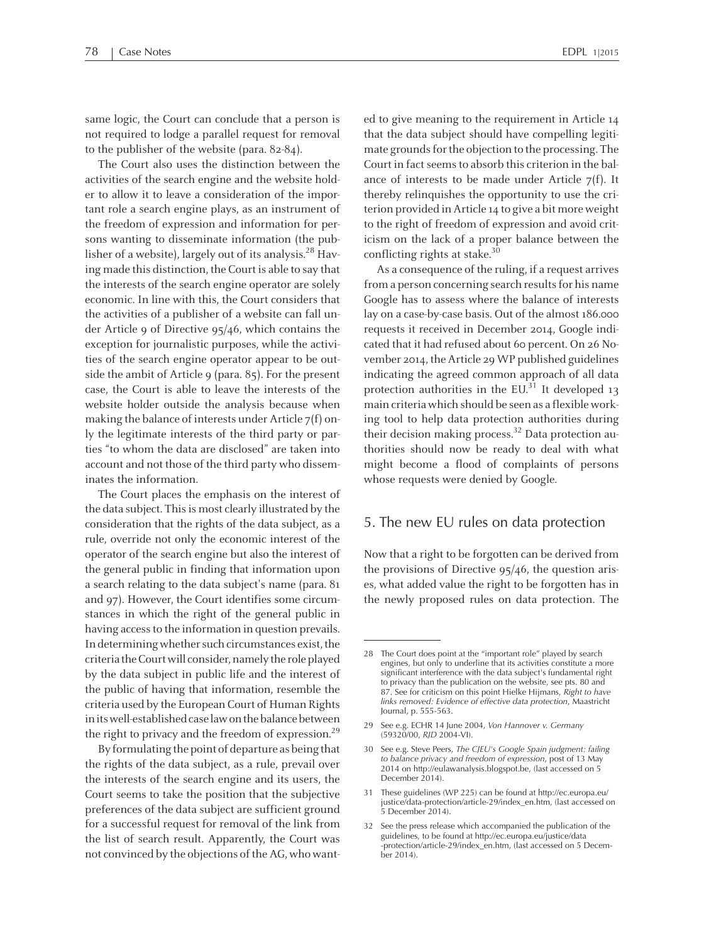same logic, the Court can conclude that <sup>a</sup> person is not required to lodge <sup>a</sup> parallel reques<sup>t</sup> for removal to the publisher of the website (para. 82-84).

The Court also uses the distinction between the activities of the search engine and the website holder to allow it to leave <sup>a</sup> consideration of the important role <sup>a</sup> search engine plays, as an instrument of the freedom of expression and information for persons wanting to disseminate information (the publisher of a website), largely out of its analysis.<sup>28</sup> Having made this distinction, the Court is able to say that the interests of the search engine operator are solely economic. In line with this, the Court considers that the activities of <sup>a</sup> publisher of <sup>a</sup> website can fall under Article 9 of Directive 95/46, which contains the exception for journalistic purposes, while the activities of the search engine operator appear to be outside the ambit of Article 9 (para. 85). For the presen<sup>t</sup> case, the Court is able to leave the interests of the website holder outside the analysis because when making the balance of interests under Article 7(f) only the legitimate interests of the third party or parties "to whom the data are disclosed" are taken into account and not those of the third party who disseminates the information.

The Court places the emphasis on the interest of the data subject. This is most clearly illustrated by the consideration that the rights of the data subject, as <sup>a</sup> rule, override not only the economic interest of the operator of the search engine but also the interest of the general public in finding that information upon <sup>a</sup> search relating to the data subject's name (para. <sup>81</sup> and 97). However, the Court identifies some circumstances in which the right of the general public in having accessto the information in question prevails. In determining whether such circumstances exist, the criteria the Court will consider, namely the role played by the data subject in public life and the interest of the public of having that information, resemble the criteria used by the European Court of Human Rights in its well-established case law on the balance between the right to privacy and the freedom of expression.<sup>29</sup>

By formulating the point of departure as being that the rights of the data subject, as <sup>a</sup> rule, prevail over the interests of the search engine and its users, the Court seems to take the position that the subjective preferences of the data subject are sufficient ground for <sup>a</sup> successful reques<sup>t</sup> for removal of the link from the list of search result. Apparently, the Court was not convinced by the objections of the AG, who wanted to give meaning to the requirement in Article 14 that the data subject should have compelling legitimate grounds for the objection to the processing. The Court in fact seems to absorb this criterion in the balance of interests to be made under Article 7(f). It thereby relinquishes the opportunity to use the criterion provided inArticle 14 to give <sup>a</sup> bitmore weight to the right of freedom of expression and avoid criticism on the lack of <sup>a</sup> proper balance between the conflicting rights at stake. 30

As a consequence of the ruling, if a request arrives from a person concerning search results for his name Google has to assess where the balance of interests lay on <sup>a</sup> case-by-case basis. Out of the almost 186.000 requests it received in December 2014, Google indicated that it had refused about 60 percent. On <sup>26</sup> November 2014, the Article 29 WP published guidelines indicating the agreed common approach of all data protection authorities in the EU.<sup>31</sup> It developed 13 main criteria which should be seen as <sup>a</sup> flexible working tool to help data protection authorities during their decision making process.<sup>32</sup> Data protection authorities should now be ready to deal with what might become <sup>a</sup> flood of complaints of persons whose requests were denied by Google.

### 5. The new EU rules on data protection

Now that <sup>a</sup> right to be forgotten can be derived from the provisions of Directive 95/46, the question arises, what added value the right to be forgotten has in the newly proposed rules on data protection. The

<sup>28</sup> The Court does point at the "important role" played by search engines, but only to underline that its activities constitute <sup>a</sup> more significant interference with the data subject's fundamental right to privacy than the publication on the website, see pts. <sup>80</sup> and 87. See for criticism on this point Hielke Hijmans, *Right to have links removed: Evidence of effective data protection*, Maastricht Journal, p. 555-563.

<sup>29</sup> See e.g. ECHR 14 June 2004, *Von Hannover v. Germany* (59320/00, *RJD* 2004-VI).

<sup>30</sup> See e.g. Steve Peers, *The CJEU's Google Spain judgment: failing to balance privacy and freedom of expression*, pos<sup>t</sup> of <sup>13</sup> May <sup>2014</sup> on http://eulawanalysis.blogspot.be, (last accessed on <sup>5</sup> December 2014).

<sup>31</sup> These guidelines (WP 225) can be found at http://ec.europa.eu/ justice/data-protection/article-29/index\_en.htm, (last accessed on 5 December 2014).

<sup>32</sup> See the press release which accompanied the publication of the guidelines, to be found at http://ec.europa.eu/justice/data -protection/article-29/index\_en.htm, (last accessed on <sup>5</sup> December 2014).